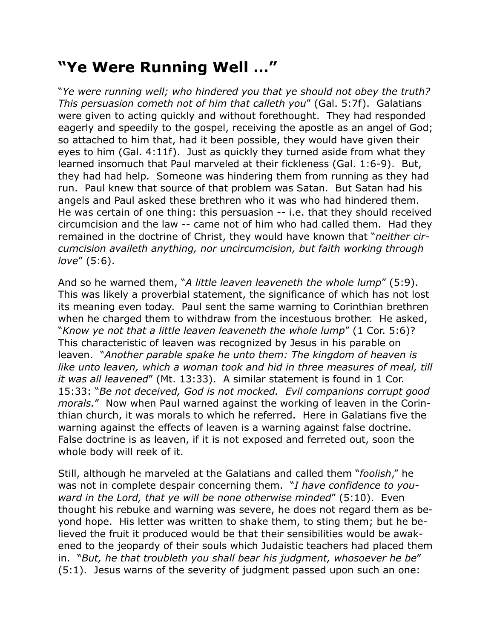## **"Ye Were Running Well …"**

"*Ye were running well; who hindered you that ye should not obey the truth? This persuasion cometh not of him that calleth you*" (Gal. 5:7f). Galatians were given to acting quickly and without forethought. They had responded eagerly and speedily to the gospel, receiving the apostle as an angel of God; so attached to him that, had it been possible, they would have given their eyes to him (Gal. 4:11f). Just as quickly they turned aside from what they learned insomuch that Paul marveled at their fickleness (Gal. 1:6-9). But, they had had help. Someone was hindering them from running as they had run. Paul knew that source of that problem was Satan. But Satan had his angels and Paul asked these brethren who it was who had hindered them. He was certain of one thing: this persuasion -- i.e. that they should received circumcision and the law -- came not of him who had called them. Had they remained in the doctrine of Christ, they would have known that "*neither circumcision availeth anything, nor uncircumcision, but faith working through love*" (5:6).

And so he warned them, "*A little leaven leaveneth the whole lump*" (5:9). This was likely a proverbial statement, the significance of which has not lost its meaning even today. Paul sent the same warning to Corinthian brethren when he charged them to withdraw from the incestuous brother. He asked, "*Know ye not that a little leaven leaveneth the whole lump*" (1 Cor. 5:6)? This characteristic of leaven was recognized by Jesus in his parable on leaven. "*Another parable spake he unto them: The kingdom of heaven is like unto leaven, which a woman took and hid in three measures of meal, till it was all leavened*" (Mt. 13:33). A similar statement is found in 1 Cor. 15:33: "*Be not deceived, God is not mocked. Evil companions corrupt good morals.*" Now when Paul warned against the working of leaven in the Corinthian church, it was morals to which he referred. Here in Galatians five the warning against the effects of leaven is a warning against false doctrine. False doctrine is as leaven, if it is not exposed and ferreted out, soon the whole body will reek of it.

Still, although he marveled at the Galatians and called them "*foolish*," he was not in complete despair concerning them. "*I have confidence to youward in the Lord, that ye will be none otherwise minded*" (5:10). Even thought his rebuke and warning was severe, he does not regard them as beyond hope. His letter was written to shake them, to sting them; but he believed the fruit it produced would be that their sensibilities would be awakened to the jeopardy of their souls which Judaistic teachers had placed them in. "*But, he that troubleth you shall bear his judgment, whosoever he be*" (5:1). Jesus warns of the severity of judgment passed upon such an one: